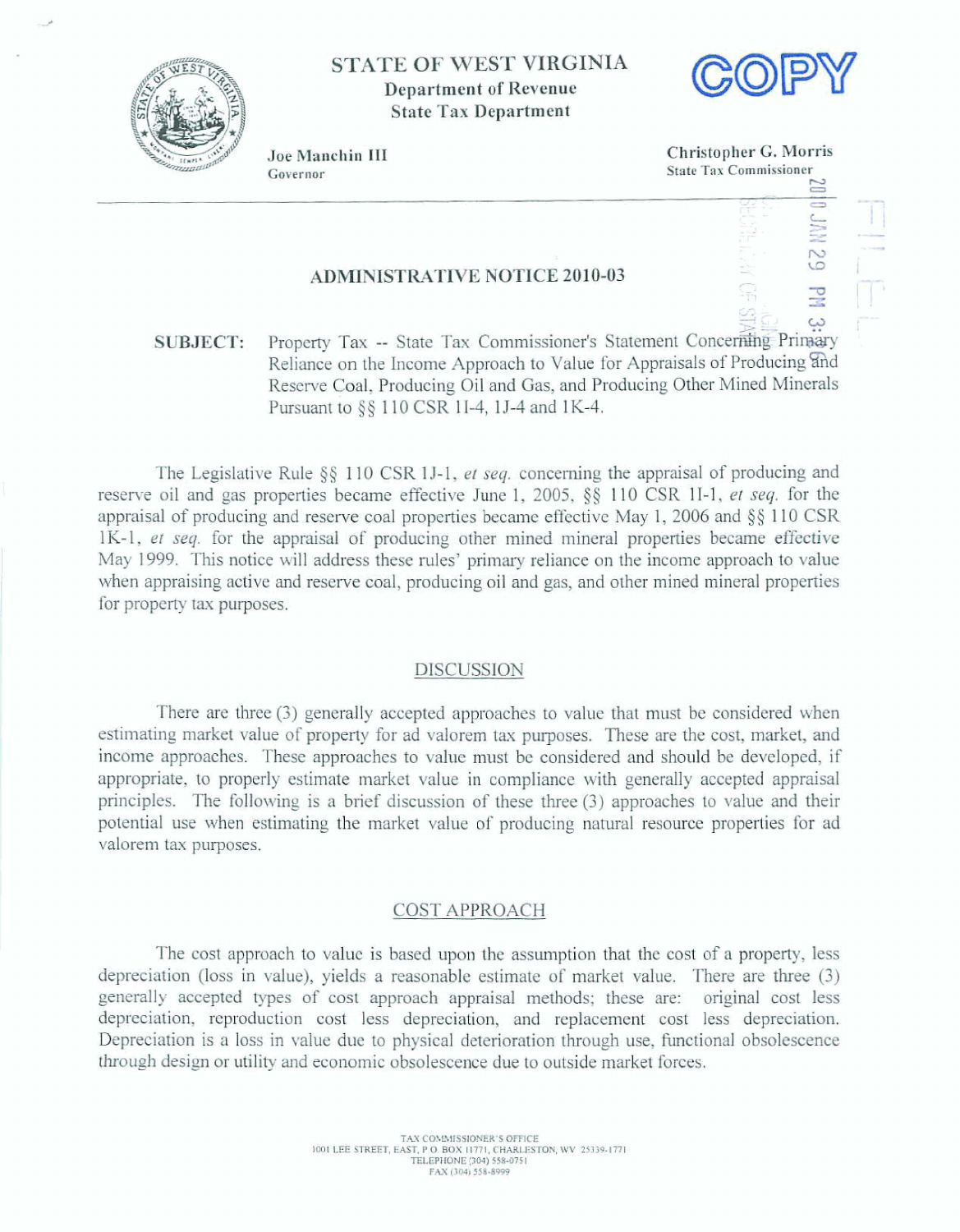

# **STATE OF WEST VIRGINIA Department of Revenue Stafe Tax Department**



. - . . L Ii I= **z** - .-

**129 P**<br>-- P<br>-- P

. . **2** I-!-#

**Joe Maachin 111 Christopher** *G,* **Morris Governor**<br> **Governor**<br> **EXECUTE:**<br> **EXECUTE:**<br> **EXECUTE:**<br> **EXECUTE:**<br> **EXECUTE:** 

유<br>야 :

## **ADMINISTRATIVE NOTICE 2010-03**

 $\frac{43}{25}$  .  $\frac{43}{25}$  .  $\frac{43}{25}$  .  $\frac{43}{25}$  .  $\frac{43}{25}$ ب كَلِيَةِ **Property Tax -- State Tax Commissioner's Statement Concerning Primary Reliance on the Income Approach to Value for Appraisals of Producing and** Reserve Coal, Producing Oil and Gas, and Producing Other Mined Minerals Pursuant to  $\S$ § 110 CSR 1I-4, 1J-4 and 1K-4.

The **Legislative** Rule **g§** 1 10 CSR **1** J-1, **ei** *seq,* **concerning the appraisal** of **producing and reserve oil** and gas **properties** became **effective** June 1, **2005, 65** 110 **CSR** 11-1, *er* **wq.** for **tbe**  appraisal of producing and reserve coal properties became effective May 1, 2006 and  $\S$  110 CSR 1K-1, **et seq.** for **he appraisal of producing** other **mined mineral** properties **became effective May 1 999.** This **notice** will address **these rules'** primary **reliance on** the income approach to **value**  when appraising active and reserve coal, producing oil and gas, and other mined mineral properties for **property** tax **purposes.** 

#### **DISCUSSION**

There **are** three **(3)** generally **accepted approaches to due** that must be **considered when estimating market value** of **property for ad valorem** tax **purposes. These are** the **cost, market, and**  income approaches. These **approaches** to value **must** be considered and should **be developed,** if appropriate, to properly estimate market value in compliance with generally accepted appraisal **principles.** The **following is a brief discussion of these three** (3) **approaches to** value **and** their **potential we** when **estimating the market** value af **producing** natural resource **properties for ad valorem tax purposes.** 

#### **COST APPROACH**

The *cost* approach **to** value **is** based upon the **assumption** that the cost **of** a property, **less depreciation (loss** in **value),** yields **a reasonable estimate** of market **value, There are** three **(3) generally accepted types of** cost **approach appraisal** methods; **these are:** original **cost less**  depreciation, reproduction **cost less** depreciation, **and** replacement cost **less** depreciation. **Depreciation is a loss in value** due **ta physical** deterioration **through use, functional obsolescence through design or** utility and economic obsolescence **due to** outside **market forces.**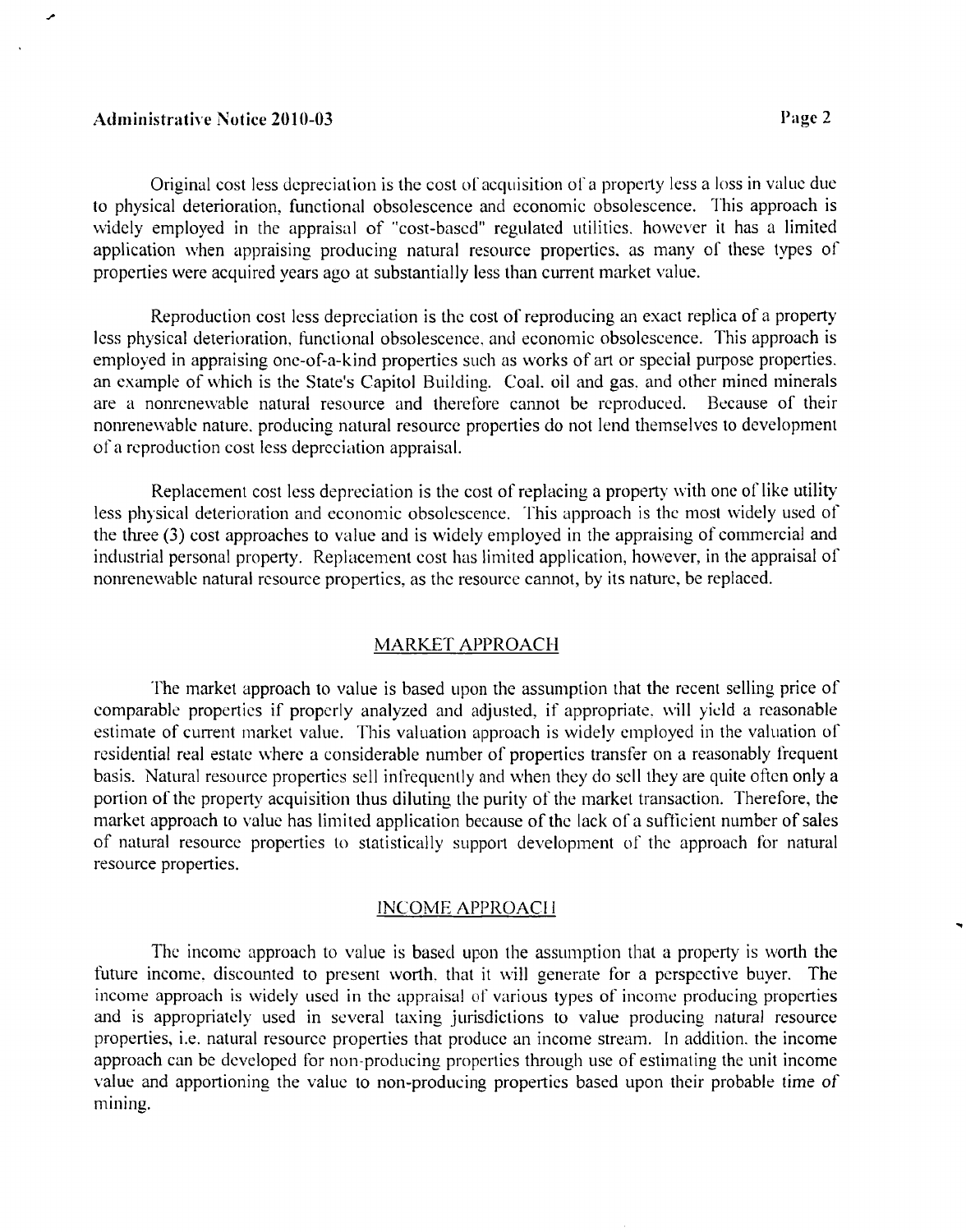### Atln~iriistrative **Notice** 2010-03

Original cost less depreciation is the cost of acquisition of a property less a loss in value due to physical deterioration, functional obsolescence and economic obsolescence. This approach is widely employed in the appraisal of "cost-based" regulated utilities. however it has a limited application when appraising producing natural resource properties, as many of these types of properties were acquired years ago at substantially less than current market value.

Reproduction cost less depreciation is the cost of reproducing an exact replica of a property less physical deterioration, functional obsolescence, and economic obsolescence. This approach is employed in appraising one-of-a-kind properties such as works of art or special purpose properties. 'an esample of which is the State's Capitol Building. Coal. oil and gas. and other mined minerals are a nonrenewable natural resource and therefore cannot be reproduced. Because of their nonrenewable nature, producing natural resource properties do not lend themselves to development of a rcproduction cost less depreciation appraisal.

Replacement cost less depreciation is the cost of replacing a property with one of like utility less physical deterioration and economic obsolescence. This approach is the most widely used of the three (3) cost approaches to value and is widely employed in the appraising of commercial and industrial personal property. Replacement cost has liniited application. hourever. in the appraisal of nonrenewable natural resource properties. as the resourcc cannot, by its nature. be replaced.

## MARKET APPROACH

The market approach to value is based upon the assumption that the recent selling price of comparable properties if properly analyzed and adjusted, if appropriate, will yield a reasonable estimate of current market value. This valuation approach is widely employed in the valuation of residential real estate where a considerable number of properties transfer on a reasonably frequent basis. Natural resource properties sell infrequenily and when they do sell they are quite oficn only a portion of the property acquisition thus diluting the purity of the market transaction. Therefore, the market approach to value has limited application because of the lack of a sufficient number of sales of natural resource properties to statistically support development of the approach for natural resource properties.

### INCOME APPROACII

The income approach to value is based upon the assumption that a property is worth the future income, discounted to present worth, that it will generate for a perspective buyer. The income approach is widely used in the appraisal of various types of income producing properties and is appropriately used in several taxing jurisdictions to value producing natural resource properties. i.e. natural resource propertics that produce an income stream. In addition. the income approach can be developed for non-producing properties through use of estimating the unit income value and apportioning the valuc to non-producing properties based upon their probable time of mining.